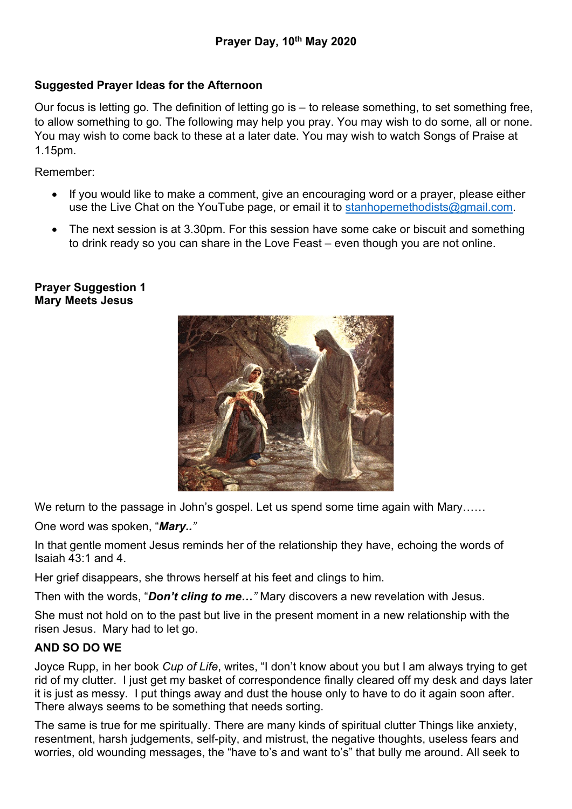# Suggested Prayer Ideas for the Afternoon

Our focus is letting go. The definition of letting go is – to release something, to set something free, to allow something to go. The following may help you pray. You may wish to do some, all or none. You may wish to come back to these at a later date. You may wish to watch Songs of Praise at 1.15pm.

Remember:

- If you would like to make a comment, give an encouraging word or a prayer, please either use the Live Chat on the YouTube page, or email it to stanhopemethodists@gmail.com.
- The next session is at 3.30pm. For this session have some cake or biscuit and something to drink ready so you can share in the Love Feast – even though you are not online.

## Prayer Suggestion 1 Mary Meets Jesus



We return to the passage in John's gospel. Let us spend some time again with Mary……

One word was spoken, "Mary.."

In that gentle moment Jesus reminds her of the relationship they have, echoing the words of Isaiah 43:1 and 4.

Her grief disappears, she throws herself at his feet and clings to him.

Then with the words, "Don't cling to me..." Mary discovers a new revelation with Jesus.

She must not hold on to the past but live in the present moment in a new relationship with the risen Jesus. Mary had to let go.

## AND SO DO WE

Joyce Rupp, in her book Cup of Life, writes, "I don't know about you but I am always trying to get rid of my clutter. I just get my basket of correspondence finally cleared off my desk and days later it is just as messy. I put things away and dust the house only to have to do it again soon after. There always seems to be something that needs sorting.

The same is true for me spiritually. There are many kinds of spiritual clutter Things like anxiety, resentment, harsh judgements, self-pity, and mistrust, the negative thoughts, useless fears and worries, old wounding messages, the "have to's and want to's" that bully me around. All seek to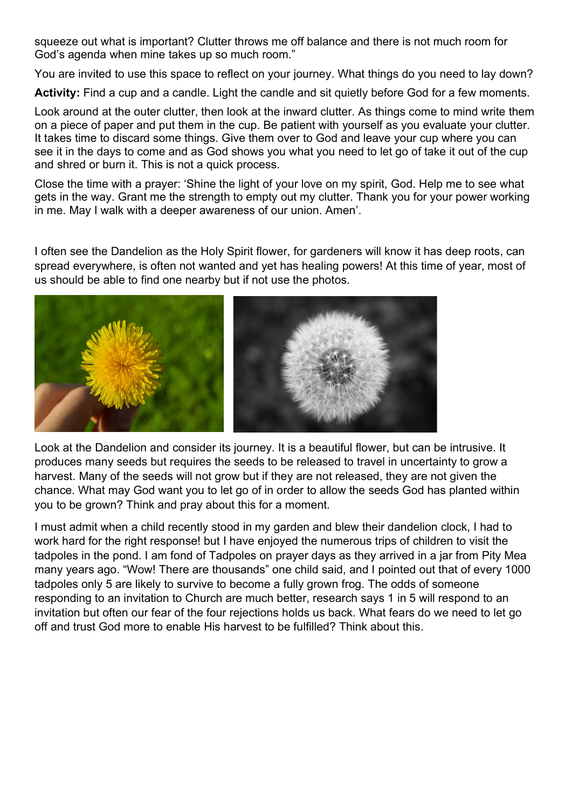squeeze out what is important? Clutter throws me off balance and there is not much room for God's agenda when mine takes up so much room."

You are invited to use this space to reflect on your journey. What things do you need to lay down?

Activity: Find a cup and a candle. Light the candle and sit quietly before God for a few moments.

Look around at the outer clutter, then look at the inward clutter. As things come to mind write them on a piece of paper and put them in the cup. Be patient with yourself as you evaluate your clutter. It takes time to discard some things. Give them over to God and leave your cup where you can see it in the days to come and as God shows you what you need to let go of take it out of the cup and shred or burn it. This is not a quick process.

Close the time with a prayer: 'Shine the light of your love on my spirit, God. Help me to see what gets in the way. Grant me the strength to empty out my clutter. Thank you for your power working in me. May I walk with a deeper awareness of our union. Amen'.

I often see the Dandelion as the Holy Spirit flower, for gardeners will know it has deep roots, can spread everywhere, is often not wanted and yet has healing powers! At this time of year, most of us should be able to find one nearby but if not use the photos.



Look at the Dandelion and consider its journey. It is a beautiful flower, but can be intrusive. It produces many seeds but requires the seeds to be released to travel in uncertainty to grow a harvest. Many of the seeds will not grow but if they are not released, they are not given the chance. What may God want you to let go of in order to allow the seeds God has planted within you to be grown? Think and pray about this for a moment.

I must admit when a child recently stood in my garden and blew their dandelion clock, I had to work hard for the right response! but I have enjoyed the numerous trips of children to visit the tadpoles in the pond. I am fond of Tadpoles on prayer days as they arrived in a jar from Pity Mea many years ago. "Wow! There are thousands" one child said, and I pointed out that of every 1000 tadpoles only 5 are likely to survive to become a fully grown frog. The odds of someone responding to an invitation to Church are much better, research says 1 in 5 will respond to an invitation but often our fear of the four rejections holds us back. What fears do we need to let go off and trust God more to enable His harvest to be fulfilled? Think about this.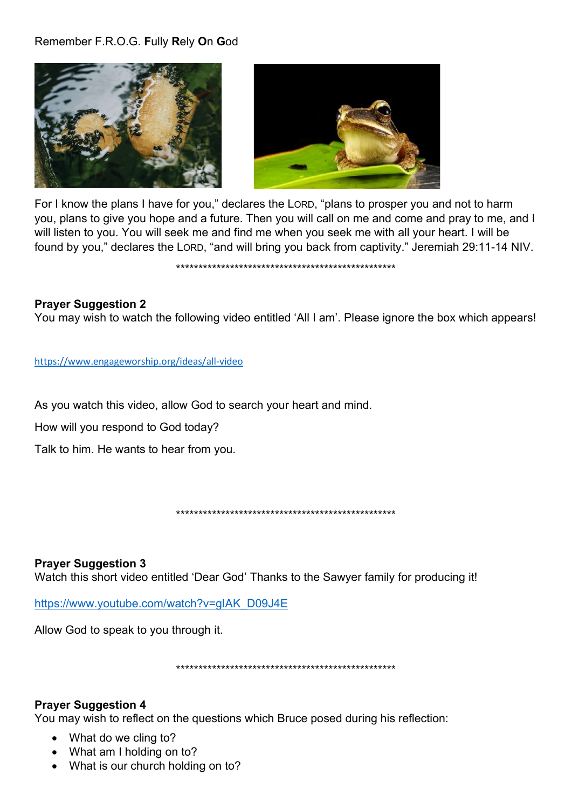## Remember F.R.O.G. Fully Rely On God





For I know the plans I have for you," declares the LORD, "plans to prosper you and not to harm you, plans to give you hope and a future. Then you will call on me and come and pray to me, and I will listen to you. You will seek me and find me when you seek me with all your heart. I will be found by you," declares the LORD, "and will bring you back from captivity." Jeremiah 29:11-14 NIV.

#### 

### **Prayer Suggestion 2**

You may wish to watch the following video entitled 'All I am'. Please ignore the box which appears!

https://www.engageworship.org/ideas/all-video

As you watch this video, allow God to search your heart and mind.

How will you respond to God today?

Talk to him. He wants to hear from you.

**Prayer Suggestion 3** Watch this short video entitled 'Dear God' Thanks to the Sawyer family for producing it!

https://www.youtube.com/watch?v=gIAK\_D09J4E

Allow God to speak to you through it.

### **Prayer Suggestion 4**

You may wish to reflect on the questions which Bruce posed during his reflection:

- What do we cling to?
- What am I holding on to?
- What is our church holding on to?